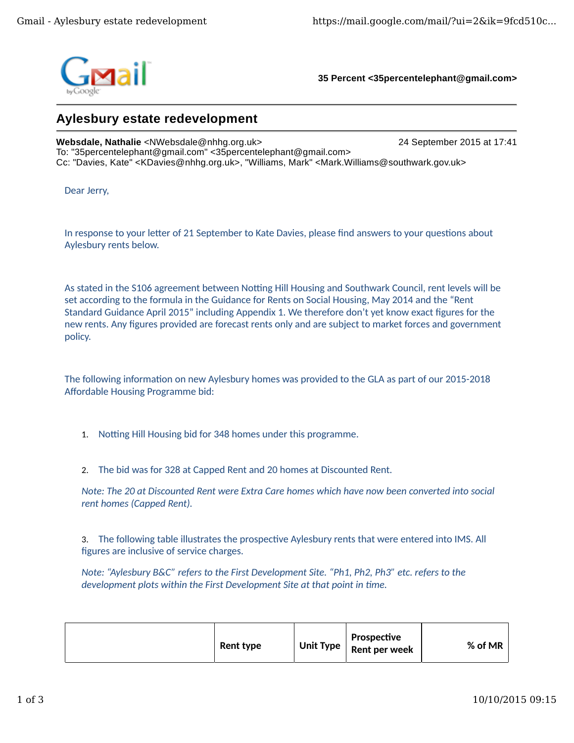

**35 Percent <35percentelephant@gmail.com>**

## **Aylesbury estate redevelopment**

**Websdale, Nathalie** <NWebsdale@nhhg.org.uk> 24 September 2015 at 17:41 To: "35percentelephant@gmail.com" <35percentelephant@gmail.com> Cc: "Davies, Kate" <KDavies@nhhg.org.uk>, "Williams, Mark" <Mark.Williams@southwark.gov.uk>

Dear Jerry,

In response to your letter of 21 September to Kate Davies, please find answers to your questions about Aylesbury rents below.

As stated in the S106 agreement between Notting Hill Housing and Southwark Council, rent levels will be set according to the formula in the Guidance for Rents on Social Housing, May 2014 and the "Rent Standard Guidance April 2015" including Appendix 1. We therefore don't yet know exact figures for the new rents. Any figures provided are forecast rents only and are subject to market forces and government policy.

The following information on new Aylesbury homes was provided to the GLA as part of our 2015-2018 Affordable Housing Programme bid:

1. Notting Hill Housing bid for 348 homes under this programme.

2. The bid was for 328 at Capped Rent and 20 homes at Discounted Rent.

*Note: The 20 at Discounted Rent were Extra Care homes which have now been converted into social rent homes (Capped Rent).*

3. The following table illustrates the prospective Aylesbury rents that were entered into IMS. All figures are inclusive of service charges.

*Note: "Aylesbury B&C" refers to the First Development Site. "Ph1, Ph2, Ph3" etc. refers to the development plots within the First Development Site at that point in time.* 

|  | Rent type |  | Prospective<br>Unit Type $\vert$ Rent per week | % of MR |
|--|-----------|--|------------------------------------------------|---------|
|--|-----------|--|------------------------------------------------|---------|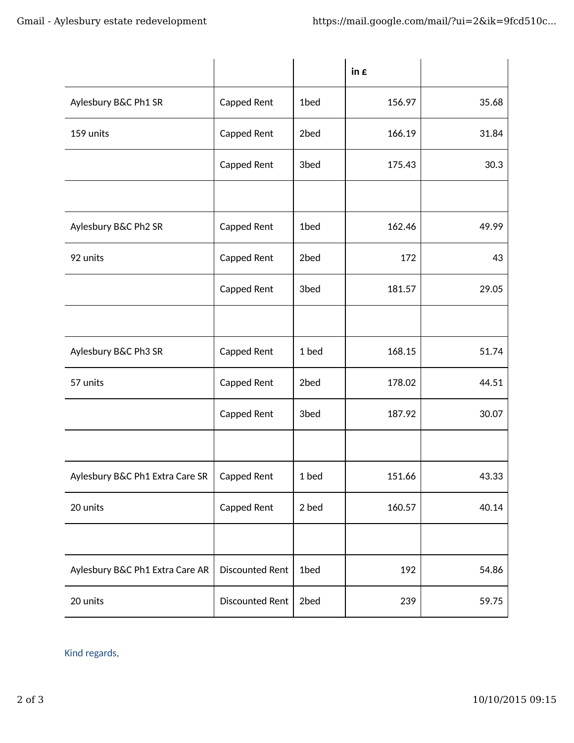|                                 |                        |       | in $\boldsymbol{\epsilon}$ |       |
|---------------------------------|------------------------|-------|----------------------------|-------|
| Aylesbury B&C Ph1 SR            | Capped Rent            | 1bed  | 156.97                     | 35.68 |
| 159 units                       | Capped Rent            | 2bed  | 166.19                     | 31.84 |
|                                 | Capped Rent            | 3bed  | 175.43                     | 30.3  |
|                                 |                        |       |                            |       |
| Aylesbury B&C Ph2 SR            | Capped Rent            | 1bed  | 162.46                     | 49.99 |
| 92 units                        | Capped Rent            | 2bed  | 172                        | 43    |
|                                 | Capped Rent            | 3bed  | 181.57                     | 29.05 |
|                                 |                        |       |                            |       |
| Aylesbury B&C Ph3 SR            | Capped Rent            | 1 bed | 168.15                     | 51.74 |
| 57 units                        | Capped Rent            | 2bed  | 178.02                     | 44.51 |
|                                 | Capped Rent            | 3bed  | 187.92                     | 30.07 |
|                                 |                        |       |                            |       |
| Aylesbury B&C Ph1 Extra Care SR | Capped Rent            | 1 bed | 151.66                     | 43.33 |
| 20 units                        | Capped Rent            | 2 bed | 160.57                     | 40.14 |
|                                 |                        |       |                            |       |
| Aylesbury B&C Ph1 Extra Care AR | <b>Discounted Rent</b> | 1bed  | 192                        | 54.86 |
| 20 units                        | <b>Discounted Rent</b> | 2bed  | 239                        | 59.75 |

Kind regards,